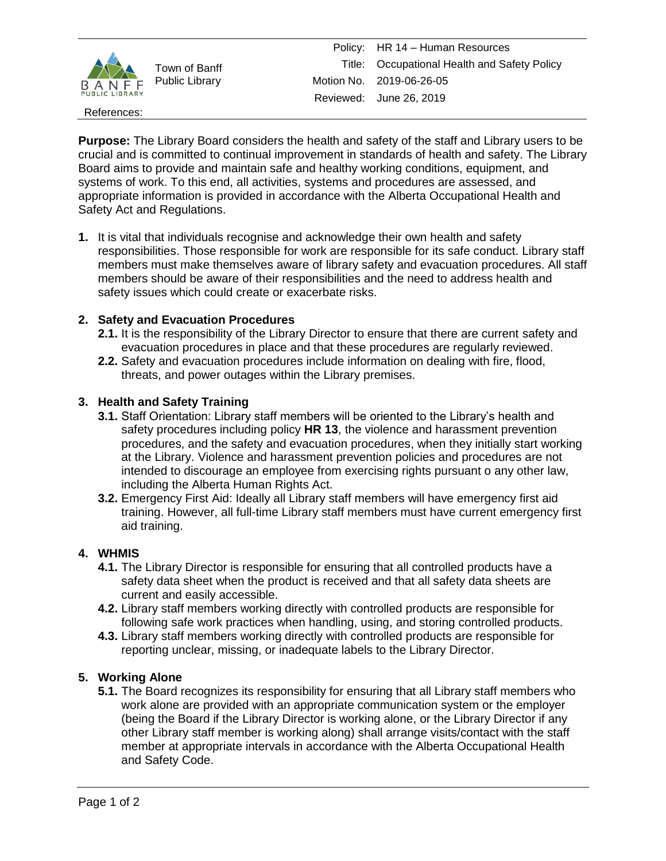

Town of Banff Public Library

References:

**Purpose:** The Library Board considers the health and safety of the staff and Library users to be crucial and is committed to continual improvement in standards of health and safety. The Library Board aims to provide and maintain safe and healthy working conditions, equipment, and systems of work. To this end, all activities, systems and procedures are assessed, and appropriate information is provided in accordance with the Alberta Occupational Health and Safety Act and Regulations.

**1.** It is vital that individuals recognise and acknowledge their own health and safety responsibilities. Those responsible for work are responsible for its safe conduct. Library staff members must make themselves aware of library safety and evacuation procedures. All staff members should be aware of their responsibilities and the need to address health and safety issues which could create or exacerbate risks.

# **2. Safety and Evacuation Procedures**

- **2.1.** It is the responsibility of the Library Director to ensure that there are current safety and evacuation procedures in place and that these procedures are regularly reviewed.
- **2.2.** Safety and evacuation procedures include information on dealing with fire, flood, threats, and power outages within the Library premises.

# **3. Health and Safety Training**

- **3.1.** Staff Orientation: Library staff members will be oriented to the Library's health and safety procedures including policy **HR 13**, the violence and harassment prevention procedures, and the safety and evacuation procedures, when they initially start working at the Library. Violence and harassment prevention policies and procedures are not intended to discourage an employee from exercising rights pursuant o any other law, including the Alberta Human Rights Act.
- **3.2.** Emergency First Aid: Ideally all Library staff members will have emergency first aid training. However, all full-time Library staff members must have current emergency first aid training.

## **4. WHMIS**

- **4.1.** The Library Director is responsible for ensuring that all controlled products have a safety data sheet when the product is received and that all safety data sheets are current and easily accessible.
- **4.2.** Library staff members working directly with controlled products are responsible for following safe work practices when handling, using, and storing controlled products.
- **4.3.** Library staff members working directly with controlled products are responsible for reporting unclear, missing, or inadequate labels to the Library Director.

## **5. Working Alone**

**5.1.** The Board recognizes its responsibility for ensuring that all Library staff members who work alone are provided with an appropriate communication system or the employer (being the Board if the Library Director is working alone, or the Library Director if any other Library staff member is working along) shall arrange visits/contact with the staff member at appropriate intervals in accordance with the Alberta Occupational Health and Safety Code.